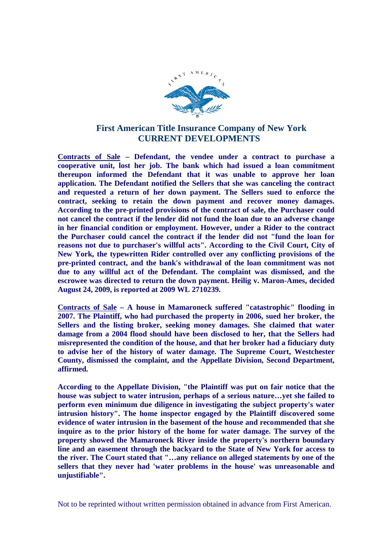

## **First American Title Insurance Company of New York CURRENT DEVELOPMENTS**

**Contracts of Sale – Defendant, the vendee under a contract to purchase a cooperative unit, lost her job. The bank which had issued a loan commitment thereupon informed the Defendant that it was unable to approve her loan application. The Defendant notified the Sellers that she was canceling the contract and requested a return of her down payment. The Sellers sued to enforce the contract, seeking to retain the down payment and recover money damages. According to the pre-printed provisions of the contract of sale, the Purchaser could not cancel the contract if the lender did not fund the loan due to an adverse change in her financial condition or employment. However, under a Rider to the contract the Purchaser could cancel the contract if the lender did not "fund the loan for reasons not due to purchaser's willful acts". According to the Civil Court, City of New York, the typewritten Rider controlled over any conflicting provisions of the pre-printed contract, and the bank's withdrawal of the loan commitment was not due to any willful act of the Defendant. The complaint was dismissed, and the escrowee was directed to return the down payment. Heilig v. Maron-Ames, decided August 24, 2009, is reported at 2009 WL 2710239.**

**Contracts of Sale – A house in Mamaroneck suffered "catastrophic" flooding in 2007. The Plaintiff, who had purchased the property in 2006, sued her broker, the Sellers and the listing broker, seeking money damages. She claimed that water damage from a 2004 flood should have been disclosed to her, that the Sellers had misrepresented the condition of the house, and that her broker had a fiduciary duty to advise her of the history of water damage. The Supreme Court, Westchester County, dismissed the complaint, and the Appellate Division, Second Department, affirmed.**

**According to the Appellate Division, "the Plaintiff was put on fair notice that the house was subject to water intrusion, perhaps of a serious nature…yet she failed to perform even minimum due diligence in investigating the subject property's water intrusion history". The home inspector engaged by the Plaintiff discovered some evidence of water intrusion in the basement of the house and recommended that she inquire as to the prior history of the home for water damage. The survey of the property showed the Mamaroneck River inside the property's northern boundary line and an easement through the backyard to the State of New York for access to the river. The Court stated that "…any reliance on alleged statements by one of the sellers that they never had 'water problems in the house' was unreasonable and unjustifiable".**

Not to be reprinted without written permission obtained in advance from First American.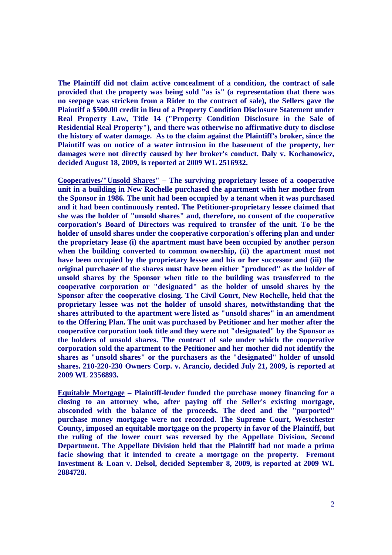**The Plaintiff did not claim active concealment of a condition, the contract of sale provided that the property was being sold "as is" (a representation that there was no seepage was stricken from a Rider to the contract of sale), the Sellers gave the Plaintiff a \$500.00 credit in lieu of a Property Condition Disclosure Statement under Real Property Law, Title 14 ("Property Condition Disclosure in the Sale of Residential Real Property"), and there was otherwise no affirmative duty to disclose the history of water damage. As to the claim against the Plaintiff's broker, since the Plaintiff was on notice of a water intrusion in the basement of the property, her damages were not directly caused by her broker's conduct. Daly v. Kochanowicz, decided August 18, 2009, is reported at 2009 WL 2516932.**

**Cooperatives/"Unsold Shares" – The surviving proprietary lessee of a cooperative unit in a building in New Rochelle purchased the apartment with her mother from the Sponsor in 1986. The unit had been occupied by a tenant when it was purchased and it had been continuously rented. The Petitioner-proprietary lessee claimed that she was the holder of "unsold shares" and, therefore, no consent of the cooperative corporation's Board of Directors was required to transfer of the unit. To be the holder of unsold shares under the cooperative corporation's offering plan and under the proprietary lease (i) the apartment must have been occupied by another person when the building converted to common ownership, (ii) the apartment must not have been occupied by the proprietary lessee and his or her successor and (iii) the original purchaser of the shares must have been either "produced" as the holder of unsold shares by the Sponsor when title to the building was transferred to the cooperative corporation or "designated" as the holder of unsold shares by the Sponsor after the cooperative closing. The Civil Court, New Rochelle, held that the proprietary lessee was not the holder of unsold shares, notwithstanding that the shares attributed to the apartment were listed as "unsold shares" in an amendment to the Offering Plan. The unit was purchased by Petitioner and her mother after the cooperative corporation took title and they were not "designated" by the Sponsor as the holders of unsold shares. The contract of sale under which the cooperative corporation sold the apartment to the Petitioner and her mother did not identify the shares as "unsold shares" or the purchasers as the "designated" holder of unsold shares. 210-220-230 Owners Corp. v. Arancio, decided July 21, 2009, is reported at 2009 WL 2356893.**

**Equitable Mortgage – Plaintiff-lender funded the purchase money financing for a closing to an attorney who, after paying off the Seller's existing mortgage, absconded with the balance of the proceeds. The deed and the "purported" purchase money mortgage were not recorded. The Supreme Court, Westchester County, imposed an equitable mortgage on the property in favor of the Plaintiff, but the ruling of the lower court was reversed by the Appellate Division, Second Department. The Appellate Division held that the Plaintiff had not made a prima facie showing that it intended to create a mortgage on the property. Fremont Investment & Loan v. Delsol, decided September 8, 2009, is reported at 2009 WL 2884728.**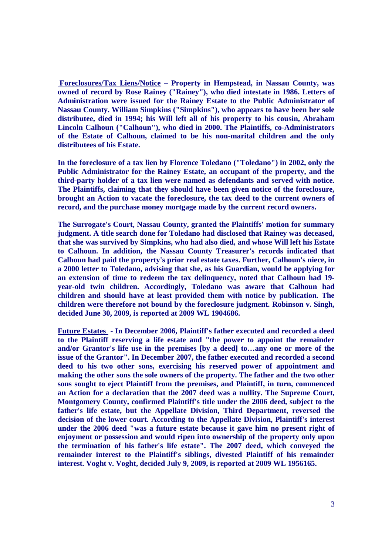**Foreclosures/Tax Liens/Notice – Property in Hempstead, in Nassau County, was owned of record by Rose Rainey ("Rainey"), who died intestate in 1986. Letters of Administration were issued for the Rainey Estate to the Public Administrator of Nassau County. William Simpkins ("Simpkins"), who appears to have been her sole distributee, died in 1994; his Will left all of his property to his cousin, Abraham Lincoln Calhoun ("Calhoun"), who died in 2000. The Plaintiffs, co-Administrators of the Estate of Calhoun, claimed to be his non-marital children and the only distributees of his Estate.**

**In the foreclosure of a tax lien by Florence Toledano ("Toledano") in 2002, only the Public Administrator for the Rainey Estate, an occupant of the property, and the third-party holder of a tax lien were named as defendants and served with notice. The Plaintiffs, claiming that they should have been given notice of the foreclosure, brought an Action to vacate the foreclosure, the tax deed to the current owners of record, and the purchase money mortgage made by the current record owners.**

**The Surrogate's Court, Nassau County, granted the Plaintiffs' motion for summary judgment. A title search done for Toledano had disclosed that Rainey was deceased, that she was survived by Simpkins, who had also died, and whose Will left his Estate to Calhoun. In addition, the Nassau County Treasurer's records indicated that Calhoun had paid the property's prior real estate taxes. Further, Calhoun's niece, in a 2000 letter to Toledano, advising that she, as his Guardian, would be applying for an extension of time to redeem the tax delinquency, noted that Calhoun had 19 year-old twin children. Accordingly, Toledano was aware that Calhoun had children and should have at least provided them with notice by publication. The children were therefore not bound by the foreclosure judgment. Robinson v. Singh, decided June 30, 2009, is reported at 2009 WL 1904686.**

**Future Estates - In December 2006, Plaintiff's father executed and recorded a deed to the Plaintiff reserving a life estate and "the power to appoint the remainder and/or Grantor's life use in the premises [by a deed] to…any one or more of the issue of the Grantor". In December 2007, the father executed and recorded a second deed to his two other sons, exercising his reserved power of appointment and making the other sons the sole owners of the property. The father and the two other sons sought to eject Plaintiff from the premises, and Plaintiff, in turn, commenced an Action for a declaration that the 2007 deed was a nullity. The Supreme Court, Montgomery County, confirmed Plaintiff's title under the 2006 deed, subject to the father's life estate, but the Appellate Division, Third Department, reversed the decision of the lower court. According to the Appellate Division, Plaintiff's interest under the 2006 deed "was a future estate because it gave him no present right of enjoyment or possession and would ripen into ownership of the property only upon the termination of his father's life estate". The 2007 deed, which conveyed the remainder interest to the Plaintiff's siblings, divested Plaintiff of his remainder interest. Voght v. Voght, decided July 9, 2009, is reported at 2009 WL 1956165.**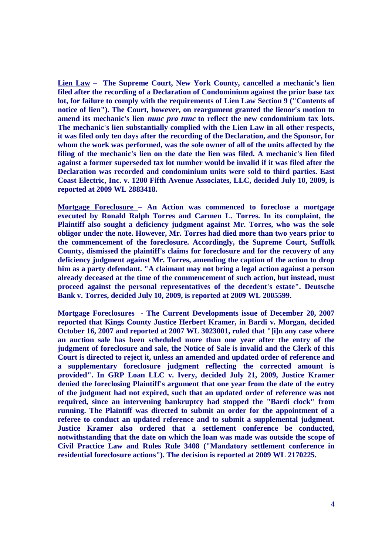**Lien Law – The Supreme Court, New York County, cancelled a mechanic's lien filed after the recording of a Declaration of Condominium against the prior base tax lot, for failure to comply with the requirements of Lien Law Section 9 ("Contents of notice of lien"). The Court, however, on reargument granted the lienor's motion to amend its mechanic's lien nunc pro tunc to reflect the new condominium tax lots. The mechanic's lien substantially complied with the Lien Law in all other respects, it was filed only ten days after the recording of the Declaration, and the Sponsor, for whom the work was performed, was the sole owner of all of the units affected by the filing of the mechanic's lien on the date the lien was filed. A mechanic's lien filed against a former superseded tax lot number would be invalid if it was filed after the Declaration was recorded and condominium units were sold to third parties. East Coast Electric, Inc. v. 1200 Fifth Avenue Associates, LLC, decided July 10, 2009, is reported at 2009 WL 2883418.**

**Mortgage Foreclosure – An Action was commenced to foreclose a mortgage executed by Ronald Ralph Torres and Carmen L. Torres. In its complaint, the Plaintiff also sought a deficiency judgment against Mr. Torres, who was the sole obligor under the note. However, Mr. Torres had died more than two years prior to the commencement of the foreclosure. Accordingly, the Supreme Court, Suffolk County, dismissed the plaintiff's claims for foreclosure and for the recovery of any deficiency judgment against Mr. Torres, amending the caption of the action to drop him as a party defendant. "A claimant may not bring a legal action against a person already deceased at the time of the commencement of such action, but instead, must proceed against the personal representatives of the decedent's estate". Deutsche Bank v. Torres, decided July 10, 2009, is reported at 2009 WL 2005599.**

**Mortgage Foreclosures - The Current Developments issue of December 20, 2007 reported that Kings County Justice Herbert Kramer, in Bardi v. Morgan, decided October 16, 2007 and reported at 2007 WL 3023001, ruled that "[i]n any case where an auction sale has been scheduled more than one year after the entry of the judgment of foreclosure and sale, the Notice of Sale is invalid and the Clerk of this Court is directed to reject it, unless an amended and updated order of reference and a supplementary foreclosure judgment reflecting the corrected amount is provided". In GRP Loan LLC v. Ivery, decided July 21, 2009, Justice Kramer denied the foreclosing Plaintiff's argument that one year from the date of the entry of the judgment had not expired, such that an updated order of reference was not required, since an intervening bankruptcy had stopped the "Bardi clock" from running. The Plaintiff was directed to submit an order for the appointment of a referee to conduct an updated reference and to submit a supplemental judgment. Justice Kramer also ordered that a settlement conference be conducted, notwithstanding that the date on which the loan was made was outside the scope of Civil Practice Law and Rules Rule 3408 ("Mandatory settlement conference in residential foreclosure actions"). The decision is reported at 2009 WL 2170225.**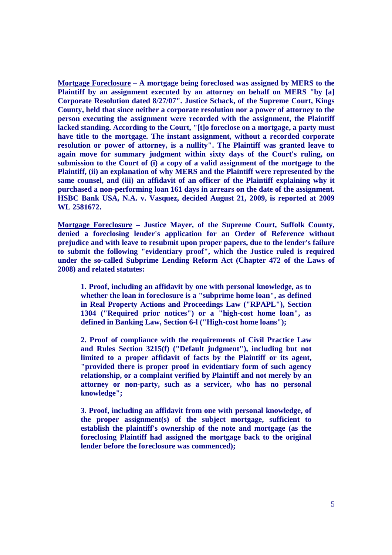**Mortgage Foreclosure – A mortgage being foreclosed was assigned by MERS to the Plaintiff by an assignment executed by an attorney on behalf on MERS "by [a] Corporate Resolution dated 8/27/07". Justice Schack, of the Supreme Court, Kings County, held that since neither a corporate resolution nor a power of attorney to the person executing the assignment were recorded with the assignment, the Plaintiff lacked standing. According to the Court, "[t]o foreclose on a mortgage, a party must have title to the mortgage. The instant assignment, without a recorded corporate resolution or power of attorney, is a nullity". The Plaintiff was granted leave to again move for summary judgment within sixty days of the Court's ruling, on submission to the Court of (i) a copy of a valid assignment of the mortgage to the Plaintiff, (ii) an explanation of why MERS and the Plaintiff were represented by the same counsel, and (iii) an affidavit of an officer of the Plaintiff explaining why it purchased a non-performing loan 161 days in arrears on the date of the assignment. HSBC Bank USA, N.A. v. Vasquez, decided August 21, 2009, is reported at 2009 WL 2581672.**

**Mortgage Foreclosure – Justice Mayer, of the Supreme Court, Suffolk County, denied a foreclosing lender's application for an Order of Reference without prejudice and with leave to resubmit upon proper papers, due to the lender's failure to submit the following "evidentiary proof", which the Justice ruled is required under the so-called Subprime Lending Reform Act (Chapter 472 of the Laws of 2008) and related statutes:**

**1. Proof, including an affidavit by one with personal knowledge, as to whether the loan in foreclosure is a "subprime home loan", as defined in Real Property Actions and Proceedings Law ("RPAPL"), Section 1304 ("Required prior notices") or a "high-cost home loan", as defined in Banking Law, Section 6-l ("High-cost home loans");**

**2. Proof of compliance with the requirements of Civil Practice Law and Rules Section 3215(f) ("Default judgment"), including but not limited to a proper affidavit of facts by the Plaintiff or its agent, "provided there is proper proof in evidentiary form of such agency relationship, or a complaint verified by Plaintiff and not merely by an attorney or non-party, such as a servicer, who has no personal knowledge";**

**3. Proof, including an affidavit from one with personal knowledge, of the proper assignment(s) of the subject mortgage, sufficient to establish the plaintiff's ownership of the note and mortgage (as the foreclosing Plaintiff had assigned the mortgage back to the original lender before the foreclosure was commenced);**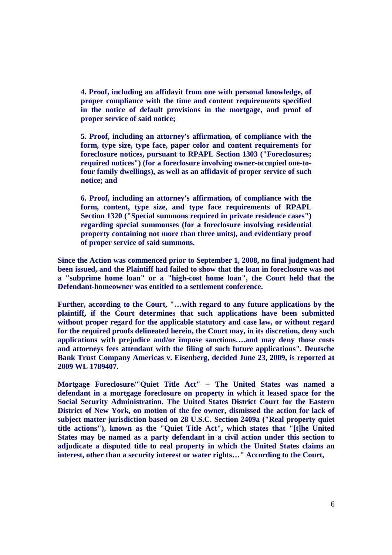**4. Proof, including an affidavit from one with personal knowledge, of proper compliance with the time and content requirements specified in the notice of default provisions in the mortgage, and proof of proper service of said notice;**

**5. Proof, including an attorney's affirmation, of compliance with the form, type size, type face, paper color and content requirements for foreclosure notices, pursuant to RPAPL Section 1303 ("Foreclosures; required notices") (for a foreclosure involving owner-occupied one-tofour family dwellings), as well as an affidavit of proper service of such notice; and**

**6. Proof, including an attorney's affirmation, of compliance with the form, content, type size, and type face requirements of RPAPL Section 1320 ("Special summons required in private residence cases") regarding special summonses (for a foreclosure involving residential property containing not more than three units), and evidentiary proof of proper service of said summons.**

**Since the Action was commenced prior to September 1, 2008, no final judgment had been issued, and the Plaintiff had failed to show that the loan in foreclosure was not a "subprime home loan" or a "high-cost home loan", the Court held that the Defendant-homeowner was entitled to a settlement conference.**

**Further, according to the Court, "…with regard to any future applications by the plaintiff, if the Court determines that such applications have been submitted without proper regard for the applicable statutory and case law, or without regard for the required proofs delineated herein, the Court may, in its discretion, deny such applications with prejudice and/or impose sanctions….and may deny those costs and attorneys fees attendant with the filing of such future applications". Deutsche Bank Trust Company Americas v. Eisenberg, decided June 23, 2009, is reported at 2009 WL 1789407.**

**Mortgage Foreclosure/"Quiet Title Act" – The United States was named a defendant in a mortgage foreclosure on property in which it leased space for the Social Security Administration. The United States District Court for the Eastern District of New York, on motion of the fee owner, dismissed the action for lack of subject matter jurisdiction based on 28 U.S.C. Section 2409a ("Real property quiet title actions"), known as the "Quiet Title Act", which states that "[t]he United States may be named as a party defendant in a civil action under this section to adjudicate a disputed title to real property in which the United States claims an interest, other than a security interest or water rights…" According to the Court,**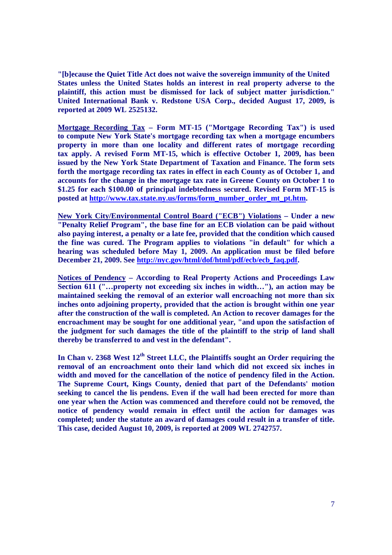**"[b]ecause the Quiet Title Act does not waive the sovereign immunity of the United States unless the United States holds an interest in real property adverse to the plaintiff, this action must be dismissed for lack of subject matter jurisdiction." United International Bank v. Redstone USA Corp., decided August 17, 2009, is reported at 2009 WL 2525132.**

**Mortgage Recording Tax – Form MT-15 ("Mortgage Recording Tax") is used to compute New York State's mortgage recording tax when a mortgage encumbers property in more than one locality and different rates of mortgage recording tax apply. A revised Form MT-15, which is effective October 1, 2009, has been issued by the New York State Department of Taxation and Finance. The form sets forth the mortgage recording tax rates in effect in each County as of October 1, and accounts for the change in the mortgage tax rate in Greene County on October 1 to \$1.25 for each \$100.00 of principal indebtedness secured. Revised Form MT-15 is posted at http://www.tax.state.ny.us/forms/form\_number\_order\_mt\_pt.htm.**

**New York City/Environmental Control Board ("ECB") Violations – Under a new "Penalty Relief Program", the base fine for an ECB violation can be paid without also paying interest, a penalty or a late fee, provided that the condition which caused the fine was cured. The Program applies to violations "in default" for which a hearing was scheduled before May 1, 2009. An application must be filed before December 21, 2009. See http://nyc.gov/html/dof/html/pdf/ecb/ecb\_faq.pdf.**

**Notices of Pendency – According to Real Property Actions and Proceedings Law Section 611 ("…property not exceeding six inches in width…"), an action may be maintained seeking the removal of an exterior wall encroaching not more than six inches onto adjoining property, provided that the action is brought within one year after the construction of the wall is completed. An Action to recover damages for the encroachment may be sought for one additional year, "and upon the satisfaction of the judgment for such damages the title of the plaintiff to the strip of land shall thereby be transferred to and vest in the defendant".**

**In Chan v. 2368 West 12th Street LLC, the Plaintiffs sought an Order requiring the removal of an encroachment onto their land which did not exceed six inches in width and moved for the cancellation of the notice of pendency filed in the Action. The Supreme Court, Kings County, denied that part of the Defendants' motion seeking to cancel the lis pendens. Even if the wall had been erected for more than one year when the Action was commenced and therefore could not be removed, the notice of pendency would remain in effect until the action for damages was completed; under the statute an award of damages could result in a transfer of title. This case, decided August 10, 2009, is reported at 2009 WL 2742757.**